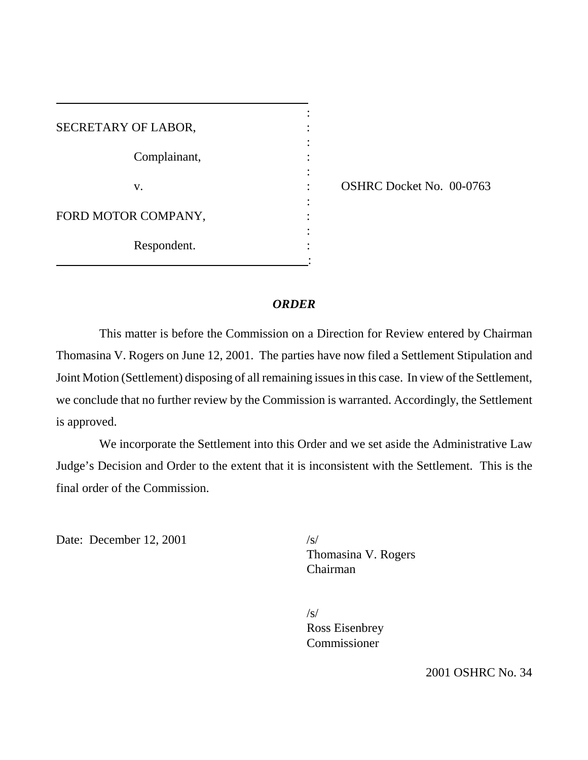| SECRETARY OF LABOR, |  |
|---------------------|--|
|                     |  |
| Complainant,        |  |
|                     |  |
| V.                  |  |
|                     |  |
| FORD MOTOR COMPANY, |  |
|                     |  |
| Respondent.         |  |
|                     |  |

OSHRC Docket No. 00-0763

## *ORDER*

This matter is before the Commission on a Direction for Review entered by Chairman Thomasina V. Rogers on June 12, 2001. The parties have now filed a Settlement Stipulation and Joint Motion (Settlement) disposing of all remaining issues in this case. In view of the Settlement, we conclude that no further review by the Commission is warranted. Accordingly, the Settlement is approved.

We incorporate the Settlement into this Order and we set aside the Administrative Law Judge's Decision and Order to the extent that it is inconsistent with the Settlement. This is the final order of the Commission.

Date: December 12, 2001 /s/

Thomasina V. Rogers Chairman

/s/ Ross Eisenbrey Commissioner

2001 OSHRC No. 34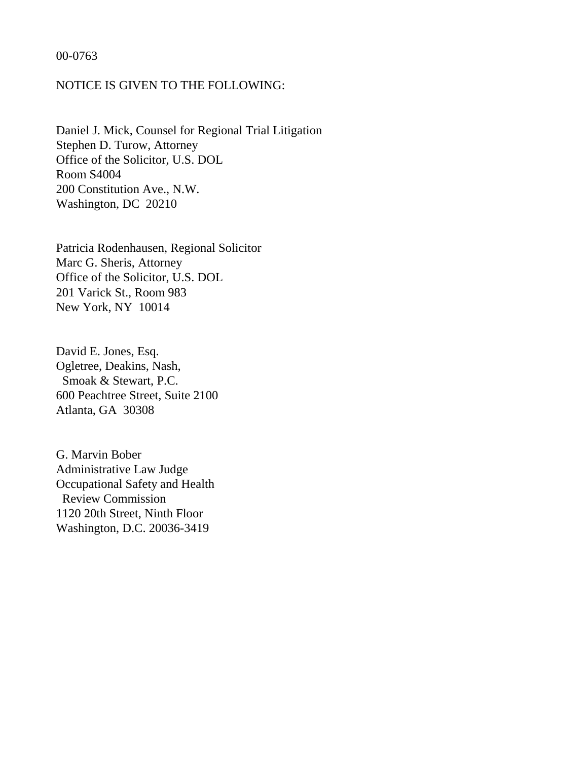### 00-0763

## NOTICE IS GIVEN TO THE FOLLOWING:

Daniel J. Mick, Counsel for Regional Trial Litigation Stephen D. Turow, Attorney Office of the Solicitor, U.S. DOL Room S4004 200 Constitution Ave., N.W. Washington, DC 20210

Patricia Rodenhausen, Regional Solicitor Marc G. Sheris, Attorney Office of the Solicitor, U.S. DOL 201 Varick St., Room 983 New York, NY 10014

David E. Jones, Esq. Ogletree, Deakins, Nash, Smoak & Stewart, P.C. 600 Peachtree Street, Suite 2100 Atlanta, GA 30308

G. Marvin Bober Administrative Law Judge Occupational Safety and Health Review Commission 1120 20th Street, Ninth Floor Washington, D.C. 20036-3419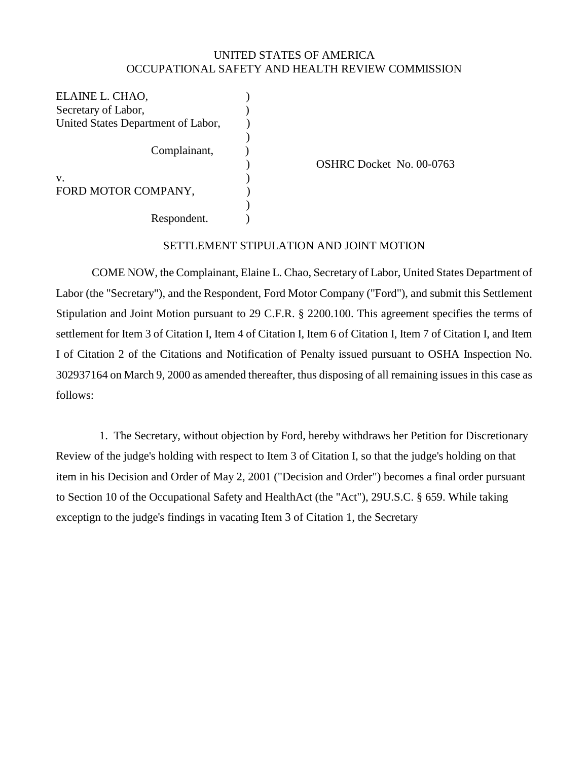## UNITED STATES OF AMERICA OCCUPATIONAL SAFETY AND HEALTH REVIEW COMMISSION

ELAINE L. CHAO, Secretary of Labor, United States Department of Labor, Complainant, v. FORD MOTOR COMPANY, Respondent. ) ) ) )  $\overline{)}$ ) ) ) ) )

OSHRC Docket No. 00-0763

### SETTLEMENT STIPULATION AND JOINT MOTION

COME NOW, the Complainant, Elaine L. Chao, Secretary of Labor, United States Department of Labor (the "Secretary"), and the Respondent, Ford Motor Company ("Ford"), and submit this Settlement Stipulation and Joint Motion pursuant to 29 C.F.R. § 2200.100. This agreement specifies the terms of settlement for Item 3 of Citation I, Item 4 of Citation I, Item 6 of Citation I, Item 7 of Citation I, and Item I of Citation 2 of the Citations and Notification of Penalty issued pursuant to OSHA Inspection No. 302937164 on March 9, 2000 as amended thereafter, thus disposing of all remaining issues in this case as follows:

1. The Secretary, without objection by Ford, hereby withdraws her Petition for Discretionary Review of the judge's holding with respect to Item 3 of Citation I, so that the judge's holding on that item in his Decision and Order of May 2, 2001 ("Decision and Order") becomes a final order pursuant to Section 10 of the Occupational Safety and HealthAct (the "Act"), 29U.S.C. § 659. While taking exceptign to the judge's findings in vacating Item 3 of Citation 1, the Secretary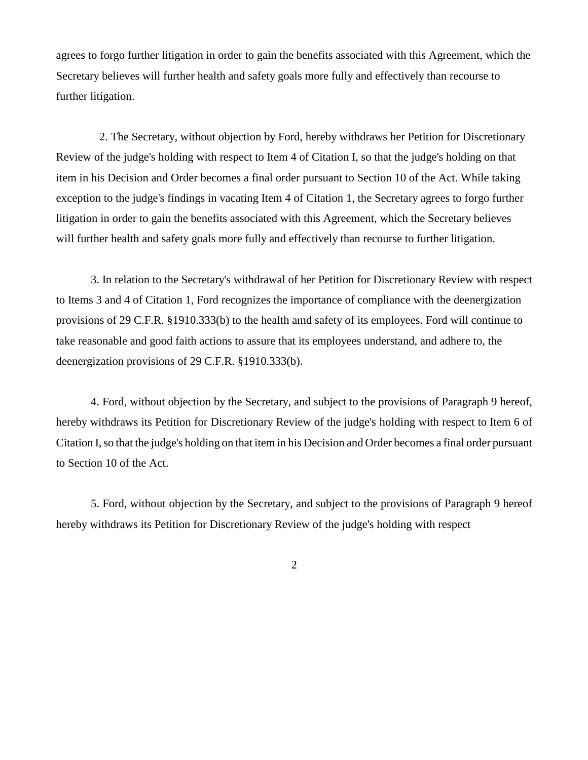agrees to forgo further litigation in order to gain the benefits associated with this Agreement, which the Secretary believes will further health and safety goals more fully and effectively than recourse to further litigation.

2. The Secretary, without objection by Ford, hereby withdraws her Petition for Discretionary Review of the judge's holding with respect to Item 4 of Citation I, so that the judge's holding on that item in his Decision and Order becomes a final order pursuant to Section 10 of the Act. While taking exception to the judge's findings in vacating Item 4 of Citation 1, the Secretary agrees to forgo further litigation in order to gain the benefits associated with this Agreement, which the Secretary believes will further health and safety goals more fully and effectively than recourse to further litigation.

3. In relation to the Secretary's withdrawal of her Petition for Discretionary Review with respect to Items 3 and 4 of Citation 1, Ford recognizes the importance of compliance with the deenergization provisions of 29 C.F.R. §1910.333(b) to the health amd safety of its employees. Ford will continue to take reasonable and good faith actions to assure that its employees understand, and adhere to, the deenergization provisions of 29 C.F.R. §1910.333(b).

4. Ford, without objection by the Secretary, and subject to the provisions of Paragraph 9 hereof, hereby withdraws its Petition for Discretionary Review of the judge's holding with respect to Item 6 of Citation I, so that the judge's holding on that item in his Decision and Order becomes a final order pursuant to Section 10 of the Act.

5. Ford, without objection by the Secretary, and subject to the provisions of Paragraph 9 hereof hereby withdraws its Petition for Discretionary Review of the judge's holding with respect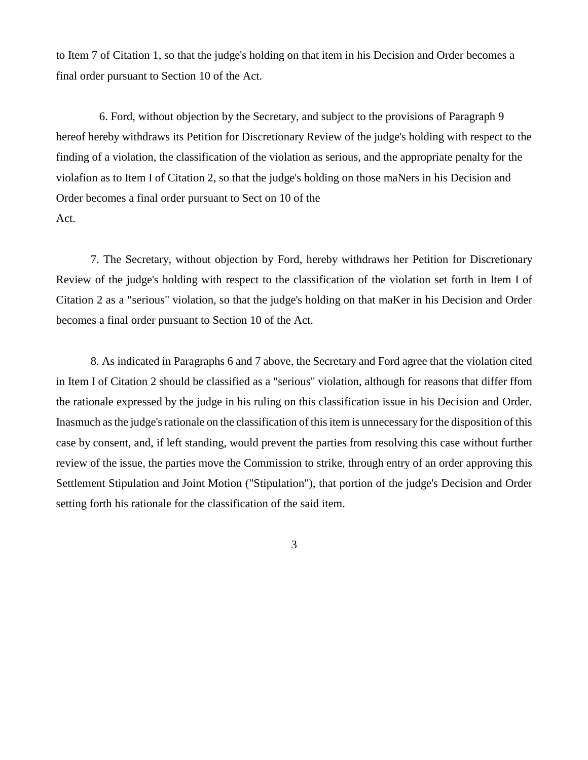to Item 7 of Citation 1, so that the judge's holding on that item in his Decision and Order becomes a final order pursuant to Section 10 of the Act.

6. Ford, without objection by the Secretary, and subject to the provisions of Paragraph 9 hereof hereby withdraws its Petition for Discretionary Review of the judge's holding with respect to the finding of a violation, the classification of the violation as serious, and the appropriate penalty for the violafion as to Item I of Citation 2, so that the judge's holding on those maNers in his Decision and Order becomes a final order pursuant to Sect on 10 of the Act.

7. The Secretary, without objection by Ford, hereby withdraws her Petition for Discretionary Review of the judge's holding with respect to the classification of the violation set forth in Item I of Citation 2 as a "serious" violation, so that the judge's holding on that maKer in his Decision and Order becomes a final order pursuant to Section 10 of the Act.

8. As indicated in Paragraphs 6 and 7 above, the Secretary and Ford agree that the violation cited in Item I of Citation 2 should be classified as a "serious" violation, although for reasons that differ ffom the rationale expressed by the judge in his ruling on this classification issue in his Decision and Order. Inasmuch as the judge's rationale on the classification of this item is unnecessary for the disposition of this case by consent, and, if left standing, would prevent the parties from resolving this case without further review of the issue, the parties move the Commission to strike, through entry of an order approving this Settlement Stipulation and Joint Motion ("Stipulation"), that portion of the judge's Decision and Order setting forth his rationale for the classification of the said item.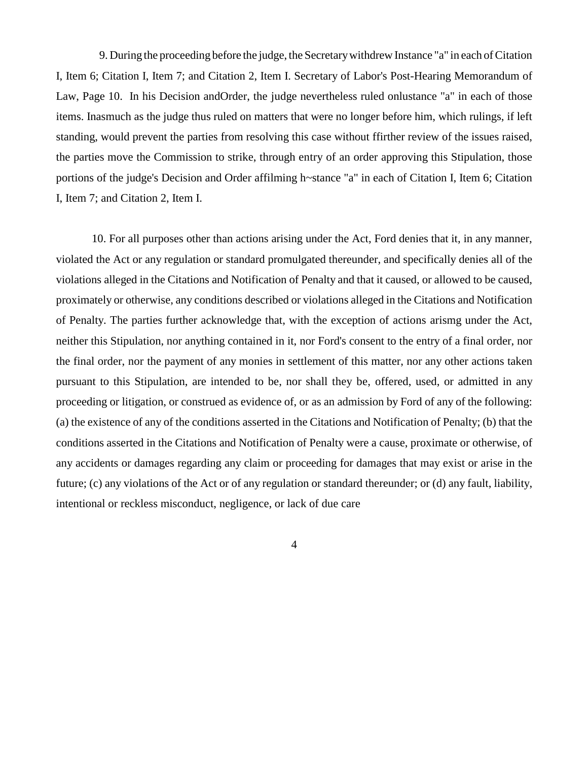9. During the proceeding before the judge, the Secretary withdrew Instance "a" in each of Citation I, Item 6; Citation I, Item 7; and Citation 2, Item I. Secretary of Labor's Post-Hearing Memorandum of Law, Page 10. In his Decision andOrder, the judge nevertheless ruled onlustance "a" in each of those items. Inasmuch as the judge thus ruled on matters that were no longer before him, which rulings, if left standing, would prevent the parties from resolving this case without ffirther review of the issues raised, the parties move the Commission to strike, through entry of an order approving this Stipulation, those portions of the judge's Decision and Order affilming h~stance "a" in each of Citation I, Item 6; Citation I, Item 7; and Citation 2, Item I.

10. For all purposes other than actions arising under the Act, Ford denies that it, in any manner, violated the Act or any regulation or standard promulgated thereunder, and specifically denies all of the violations alleged in the Citations and Notification of Penalty and that it caused, or allowed to be caused, proximately or otherwise, any conditions described or violations alleged in the Citations and Notification of Penalty. The parties further acknowledge that, with the exception of actions arismg under the Act, neither this Stipulation, nor anything contained in it, nor Ford's consent to the entry of a final order, nor the final order, nor the payment of any monies in settlement of this matter, nor any other actions taken pursuant to this Stipulation, are intended to be, nor shall they be, offered, used, or admitted in any proceeding or litigation, or construed as evidence of, or as an admission by Ford of any of the following: (a) the existence of any of the conditions asserted in the Citations and Notification of Penalty; (b) that the conditions asserted in the Citations and Notification of Penalty were a cause, proximate or otherwise, of any accidents or damages regarding any claim or proceeding for damages that may exist or arise in the future; (c) any violations of the Act or of any regulation or standard thereunder; or (d) any fault, liability, intentional or reckless misconduct, negligence, or lack of due care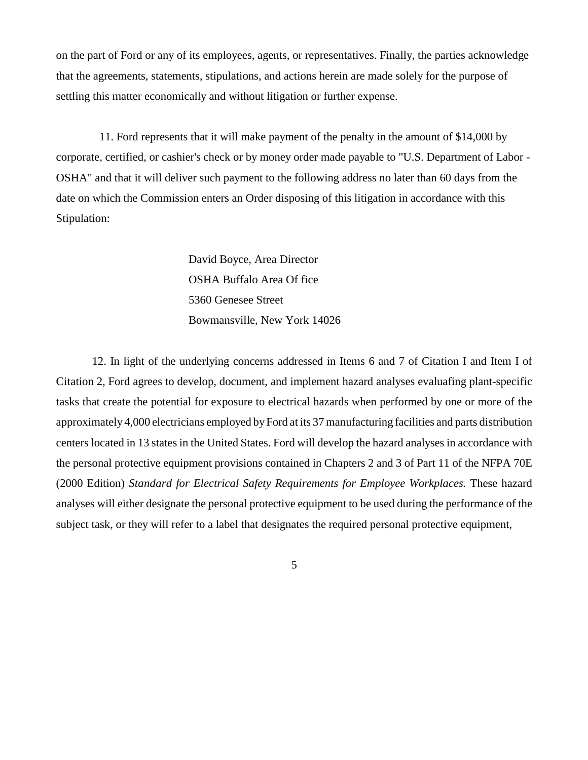on the part of Ford or any of its employees, agents, or representatives. Finally, the parties acknowledge that the agreements, statements, stipulations, and actions herein are made solely for the purpose of settling this matter economically and without litigation or further expense.

11. Ford represents that it will make payment of the penalty in the amount of \$14,000 by corporate, certified, or cashier's check or by money order made payable to "U.S. Department of Labor - OSHA" and that it will deliver such payment to the following address no later than 60 days from the date on which the Commission enters an Order disposing of this litigation in accordance with this Stipulation:

> David Boyce, Area Director OSHA Buffalo Area Of fice 5360 Genesee Street Bowmansville, New York 14026

12. In light of the underlying concerns addressed in Items 6 and 7 of Citation I and Item I of Citation 2, Ford agrees to develop, document, and implement hazard analyses evaluafing plant-specific tasks that create the potential for exposure to electrical hazards when performed by one or more of the approximately 4,000 electricians employed by Ford at its 37 manufacturing facilities and parts distribution centers located in 13 states in the United States. Ford will develop the hazard analyses in accordance with the personal protective equipment provisions contained in Chapters 2 and 3 of Part 11 of the NFPA 70E (2000 Edition) *Standard for Electrical Safety Requirements for Employee Workplaces.* These hazard analyses will either designate the personal protective equipment to be used during the performance of the subject task, or they will refer to a label that designates the required personal protective equipment,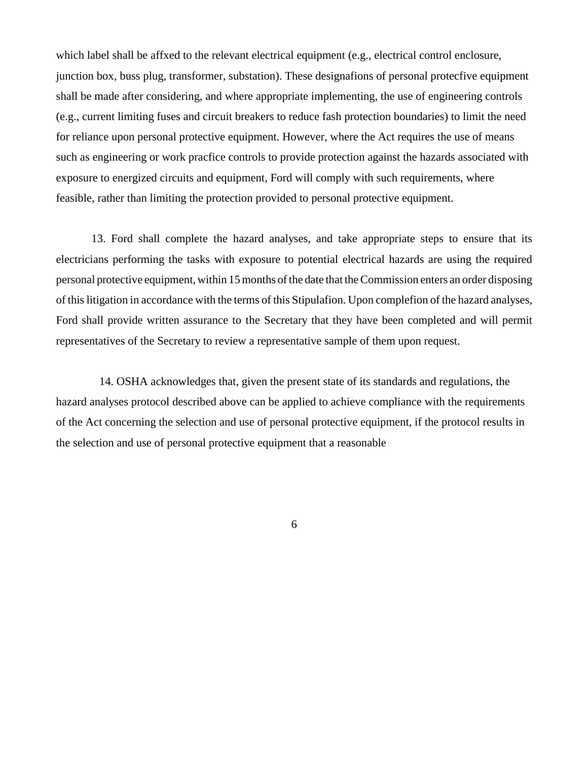which label shall be affxed to the relevant electrical equipment (e.g., electrical control enclosure, junction box, buss plug, transformer, substation). These designafions of personal protecfive equipment shall be made after considering, and where appropriate implementing, the use of engineering controls (e.g., current limiting fuses and circuit breakers to reduce fash protection boundaries) to limit the need for reliance upon personal protective equipment. However, where the Act requires the use of means such as engineering or work pracfice controls to provide protection against the hazards associated with exposure to energized circuits and equipment, Ford will comply with such requirements, where feasible, rather than limiting the protection provided to personal protective equipment.

13. Ford shall complete the hazard analyses, and take appropriate steps to ensure that its electricians performing the tasks with exposure to potential electrical hazards are using the required personal protective equipment, within 15 months of the date that the Commission enters an order disposing of this litigation in accordance with the terms of this Stipulafion. Upon complefion of the hazard analyses, Ford shall provide written assurance to the Secretary that they have been completed and will permit representatives of the Secretary to review a representative sample of them upon request.

14. OSHA acknowledges that, given the present state of its standards and regulations, the hazard analyses protocol described above can be applied to achieve compliance with the requirements of the Act concerning the selection and use of personal protective equipment, if the protocol results in the selection and use of personal protective equipment that a reasonable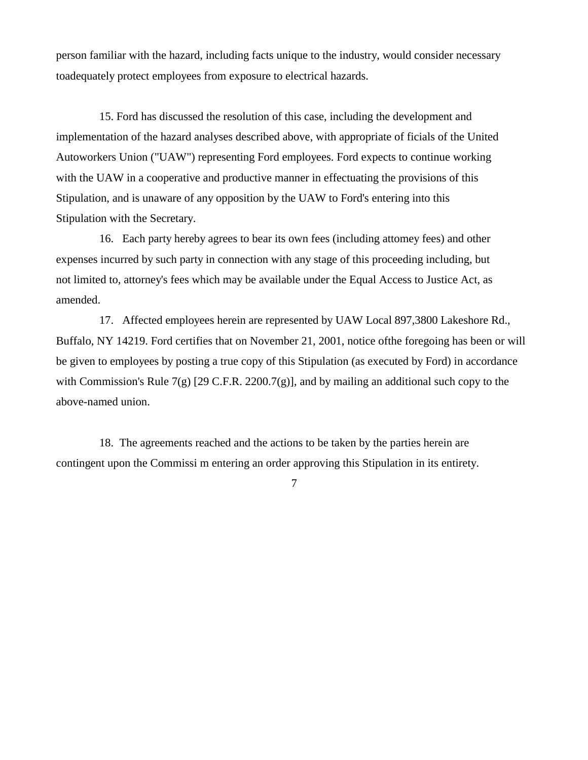person familiar with the hazard, including facts unique to the industry, would consider necessary toadequately protect employees from exposure to electrical hazards.

15. Ford has discussed the resolution of this case, including the development and implementation of the hazard analyses described above, with appropriate of ficials of the United Autoworkers Union ("UAW") representing Ford employees. Ford expects to continue working with the UAW in a cooperative and productive manner in effectuating the provisions of this Stipulation, and is unaware of any opposition by the UAW to Ford's entering into this Stipulation with the Secretary.

16. Each party hereby agrees to bear its own fees (including attomey fees) and other expenses incurred by such party in connection with any stage of this proceeding including, but not limited to, attorney's fees which may be available under the Equal Access to Justice Act, as amended.

17. Affected employees herein are represented by UAW Local 897,3800 Lakeshore Rd., Buffalo, NY 14219. Ford certifies that on November 21, 2001, notice ofthe foregoing has been or will be given to employees by posting a true copy of this Stipulation (as executed by Ford) in accordance with Commission's Rule 7(g) [29 C.F.R. 2200.7(g)], and by mailing an additional such copy to the above-named union.

18. The agreements reached and the actions to be taken by the parties herein are contingent upon the Commissi m entering an order approving this Stipulation in its entirety.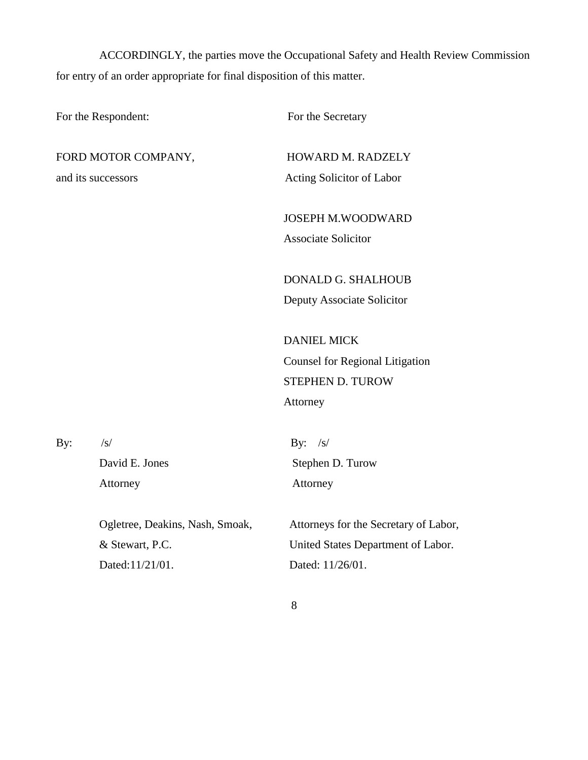ACCORDINGLY, the parties move the Occupational Safety and Health Review Commission for entry of an order appropriate for final disposition of this matter.

| For the Respondent: |                                 | For the Secretary                      |  |  |
|---------------------|---------------------------------|----------------------------------------|--|--|
| FORD MOTOR COMPANY, |                                 | HOWARD M. RADZELY                      |  |  |
| and its successors  |                                 | Acting Solicitor of Labor              |  |  |
|                     |                                 | <b>JOSEPH M.WOODWARD</b>               |  |  |
|                     |                                 | <b>Associate Solicitor</b>             |  |  |
|                     |                                 | DONALD G. SHALHOUB                     |  |  |
|                     |                                 | Deputy Associate Solicitor             |  |  |
|                     |                                 | <b>DANIEL MICK</b>                     |  |  |
|                     |                                 | <b>Counsel for Regional Litigation</b> |  |  |
|                     |                                 | STEPHEN D. TUROW                       |  |  |
|                     |                                 | Attorney                               |  |  |
| By:                 | $\sqrt{s}$                      | By: $/s/$                              |  |  |
|                     | David E. Jones                  | Stephen D. Turow                       |  |  |
|                     | Attorney                        | Attorney                               |  |  |
|                     | Ogletree, Deakins, Nash, Smoak, | Attorneys for the Secretary of Labor,  |  |  |
|                     | & Stewart, P.C.                 | United States Department of Labor.     |  |  |

Dated:11/21/01.

Dated: 11/26/01.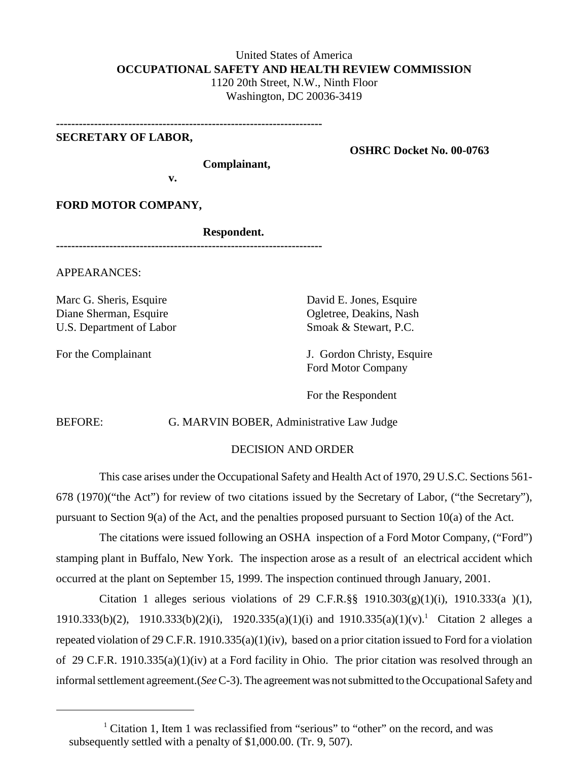## United States of America **OCCUPATIONAL SAFETY AND HEALTH REVIEW COMMISSION**  1120 20th Street, N.W., Ninth Floor Washington, DC 20036-3419

**----------------------------------------------------------------------**

## **SECRETARY OF LABOR,**

**OSHRC Docket No. 00-0763** 

**Complainant,** 

**v.** 

**FORD MOTOR COMPANY,** 

**Respondent.** 

**----------------------------------------------------------------------**

APPEARANCES:

Marc G. Sheris, Esquire Diane Sherman, Esquire U.S. Department of Labor

For the Complainant

David E. Jones, Esquire Ogletree, Deakins, Nash Smoak & Stewart, P.C.

J. Gordon Christy, Esquire Ford Motor Company

For the Respondent

BEFORE: G. MARVIN BOBER, Administrative Law Judge

#### DECISION AND ORDER

This case arises under the Occupational Safety and Health Act of 1970, 29 U.S.C. Sections 561- 678 (1970)("the Act") for review of two citations issued by the Secretary of Labor, ("the Secretary"), pursuant to Section 9(a) of the Act, and the penalties proposed pursuant to Section 10(a) of the Act.

The citations were issued following an OSHA inspection of a Ford Motor Company, ("Ford") stamping plant in Buffalo, New York. The inspection arose as a result of an electrical accident which occurred at the plant on September 15, 1999. The inspection continued through January, 2001.

Citation 1 alleges serious violations of 29 C.F.R. $\S$ § 1910.303(g)(1)(i), 1910.333(a )(1), 1910.333(b)(2), 1910.333(b)(2)(i), 1920.335(a)(1)(i) and 1910.335(a)(1)(v). 1 Citation 2 alleges a repeated violation of 29 C.F.R. 1910.335(a)(1)(iv), based on a prior citation issued to Ford for a violation of 29 C.F.R. 1910.335(a)(1)(iv) at a Ford facility in Ohio. The prior citation was resolved through an informal settlement agreement.(*See* C-3). The agreement was not submitted to the Occupational Safety and

<sup>&</sup>lt;sup>1</sup> Citation 1, Item 1 was reclassified from "serious" to "other" on the record, and was subsequently settled with a penalty of \$1,000.00. (Tr. 9, 507).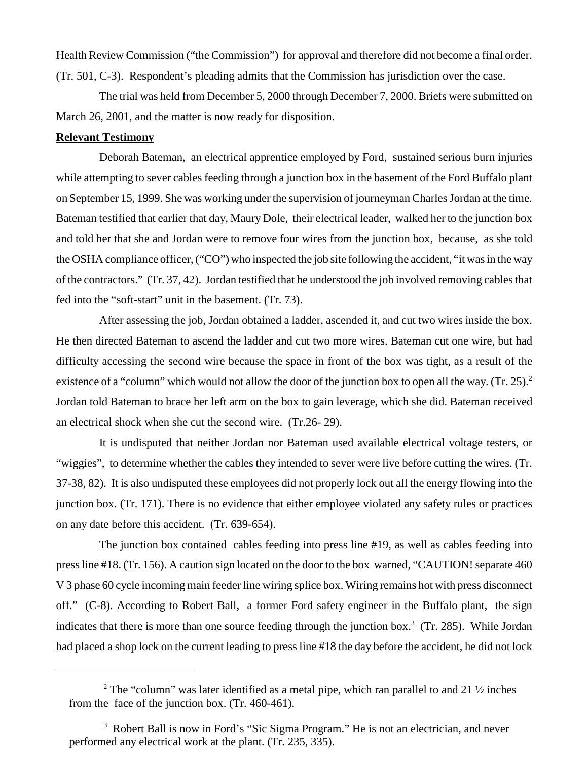Health Review Commission ("the Commission") for approval and therefore did not become a final order. (Tr. 501, C-3). Respondent's pleading admits that the Commission has jurisdiction over the case.

The trial was held from December 5, 2000 through December 7, 2000. Briefs were submitted on March 26, 2001, and the matter is now ready for disposition.

#### **Relevant Testimony**

Deborah Bateman, an electrical apprentice employed by Ford, sustained serious burn injuries while attempting to sever cables feeding through a junction box in the basement of the Ford Buffalo plant on September 15, 1999. She was working under the supervision of journeyman Charles Jordan at the time. Bateman testified that earlier that day, Maury Dole, their electrical leader, walked her to the junction box and told her that she and Jordan were to remove four wires from the junction box, because, as she told the OSHA compliance officer, ("CO") who inspected the job site following the accident, "it was in the way of the contractors." (Tr. 37, 42). Jordan testified that he understood the job involved removing cables that fed into the "soft-start" unit in the basement. (Tr. 73).

After assessing the job, Jordan obtained a ladder, ascended it, and cut two wires inside the box. He then directed Bateman to ascend the ladder and cut two more wires. Bateman cut one wire, but had difficulty accessing the second wire because the space in front of the box was tight, as a result of the existence of a "column" which would not allow the door of the junction box to open all the way. (Tr. 25).<sup>2</sup> Jordan told Bateman to brace her left arm on the box to gain leverage, which she did. Bateman received an electrical shock when she cut the second wire. (Tr.26- 29).

It is undisputed that neither Jordan nor Bateman used available electrical voltage testers, or "wiggies", to determine whether the cables they intended to sever were live before cutting the wires. (Tr. 37-38, 82). It is also undisputed these employees did not properly lock out all the energy flowing into the junction box. (Tr. 171). There is no evidence that either employee violated any safety rules or practices on any date before this accident. (Tr. 639-654).

The junction box contained cables feeding into press line #19, as well as cables feeding into press line #18. (Tr. 156). A caution sign located on the door to the box warned, "CAUTION! separate 460 V 3 phase 60 cycle incoming main feeder line wiring splice box. Wiring remains hot with press disconnect off." (C-8). According to Robert Ball, a former Ford safety engineer in the Buffalo plant, the sign indicates that there is more than one source feeding through the junction box. 3 (Tr. 285). While Jordan had placed a shop lock on the current leading to press line #18 the day before the accident, he did not lock

<sup>&</sup>lt;sup>2</sup> The "column" was later identified as a metal pipe, which ran parallel to and 21  $\frac{1}{2}$  inches from the face of the junction box. (Tr. 460-461).

<sup>&</sup>lt;sup>3</sup> Robert Ball is now in Ford's "Sic Sigma Program." He is not an electrician, and never performed any electrical work at the plant. (Tr. 235, 335).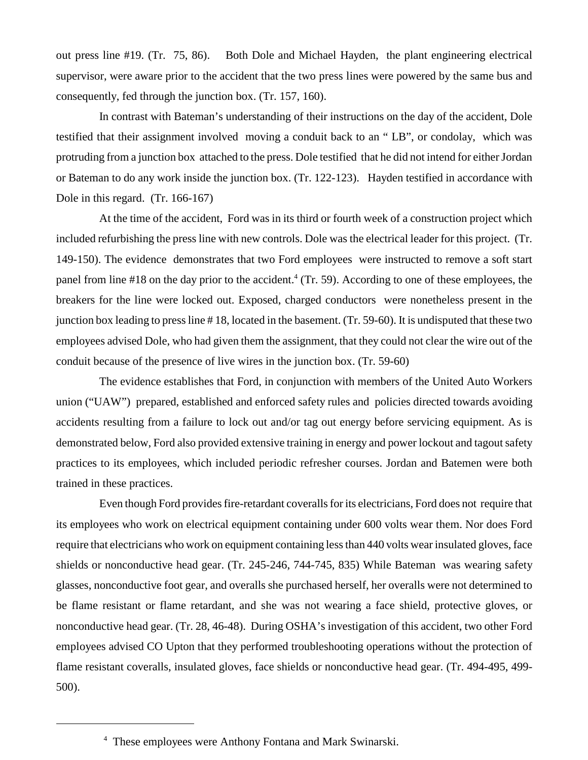out press line #19. (Tr. 75, 86). Both Dole and Michael Hayden, the plant engineering electrical supervisor, were aware prior to the accident that the two press lines were powered by the same bus and consequently, fed through the junction box. (Tr. 157, 160).

In contrast with Bateman's understanding of their instructions on the day of the accident, Dole testified that their assignment involved moving a conduit back to an " LB", or condolay, which was protruding from a junction box attached to the press. Dole testified that he did not intend for either Jordan or Bateman to do any work inside the junction box. (Tr. 122-123). Hayden testified in accordance with Dole in this regard. (Tr. 166-167)

At the time of the accident, Ford was in its third or fourth week of a construction project which included refurbishing the press line with new controls. Dole was the electrical leader for this project. (Tr. 149-150). The evidence demonstrates that two Ford employees were instructed to remove a soft start panel from line  $#18$  on the day prior to the accident.<sup>4</sup> (Tr. 59). According to one of these employees, the breakers for the line were locked out. Exposed, charged conductors were nonetheless present in the junction box leading to press line # 18, located in the basement. (Tr. 59-60). It is undisputed that these two employees advised Dole, who had given them the assignment, that they could not clear the wire out of the conduit because of the presence of live wires in the junction box. (Tr. 59-60)

The evidence establishes that Ford, in conjunction with members of the United Auto Workers union ("UAW") prepared, established and enforced safety rules and policies directed towards avoiding accidents resulting from a failure to lock out and/or tag out energy before servicing equipment. As is demonstrated below, Ford also provided extensive training in energy and power lockout and tagout safety practices to its employees, which included periodic refresher courses. Jordan and Batemen were both trained in these practices.

Even though Ford provides fire-retardant coveralls for its electricians, Ford does not require that its employees who work on electrical equipment containing under 600 volts wear them. Nor does Ford require that electricians who work on equipment containing less than 440 volts wear insulated gloves, face shields or nonconductive head gear. (Tr. 245-246, 744-745, 835) While Bateman was wearing safety glasses, nonconductive foot gear, and overalls she purchased herself, her overalls were not determined to be flame resistant or flame retardant, and she was not wearing a face shield, protective gloves, or nonconductive head gear. (Tr. 28, 46-48). During OSHA's investigation of this accident, two other Ford employees advised CO Upton that they performed troubleshooting operations without the protection of flame resistant coveralls, insulated gloves, face shields or nonconductive head gear. (Tr. 494-495, 499- 500).

<sup>4</sup> These employees were Anthony Fontana and Mark Swinarski.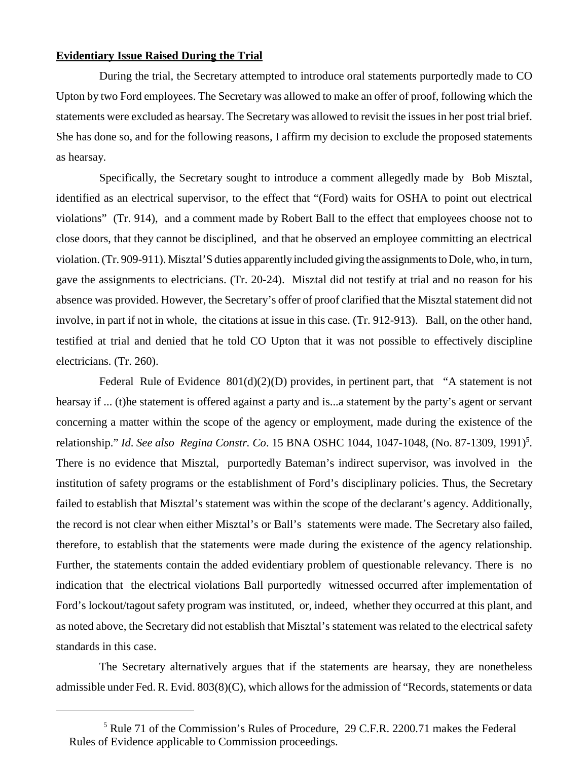#### **Evidentiary Issue Raised During the Trial**

During the trial, the Secretary attempted to introduce oral statements purportedly made to CO Upton by two Ford employees. The Secretary was allowed to make an offer of proof, following which the statements were excluded as hearsay. The Secretary was allowed to revisit the issues in her post trial brief. She has done so, and for the following reasons, I affirm my decision to exclude the proposed statements as hearsay.

Specifically, the Secretary sought to introduce a comment allegedly made by Bob Misztal, identified as an electrical supervisor, to the effect that "(Ford) waits for OSHA to point out electrical violations" (Tr. 914), and a comment made by Robert Ball to the effect that employees choose not to close doors, that they cannot be disciplined, and that he observed an employee committing an electrical violation. (Tr. 909-911). Misztal'S duties apparently included giving the assignments to Dole, who, in turn, gave the assignments to electricians. (Tr. 20-24). Misztal did not testify at trial and no reason for his absence was provided. However, the Secretary's offer of proof clarified that the Misztal statement did not involve, in part if not in whole, the citations at issue in this case. (Tr. 912-913). Ball, on the other hand, testified at trial and denied that he told CO Upton that it was not possible to effectively discipline electricians. (Tr. 260).

Federal Rule of Evidence  $801(d)(2)(D)$  provides, in pertinent part, that "A statement is not hearsay if ... (t)he statement is offered against a party and is...a statement by the party's agent or servant concerning a matter within the scope of the agency or employment, made during the existence of the relationship." *Id. See also Regina Constr. Co.* 15 BNA OSHC 1044, 1047-1048, (No. 87-1309, 1991)<sup>5</sup>. There is no evidence that Misztal, purportedly Bateman's indirect supervisor, was involved in the institution of safety programs or the establishment of Ford's disciplinary policies. Thus, the Secretary failed to establish that Misztal's statement was within the scope of the declarant's agency. Additionally, the record is not clear when either Misztal's or Ball's statements were made. The Secretary also failed, therefore, to establish that the statements were made during the existence of the agency relationship. Further, the statements contain the added evidentiary problem of questionable relevancy. There is no indication that the electrical violations Ball purportedly witnessed occurred after implementation of Ford's lockout/tagout safety program was instituted, or, indeed, whether they occurred at this plant, and as noted above, the Secretary did not establish that Misztal's statement was related to the electrical safety standards in this case.

The Secretary alternatively argues that if the statements are hearsay, they are nonetheless admissible under Fed. R. Evid. 803(8)(C), which allows for the admission of "Records, statements or data

<sup>&</sup>lt;sup>5</sup> Rule 71 of the Commission's Rules of Procedure, 29 C.F.R. 2200.71 makes the Federal Rules of Evidence applicable to Commission proceedings.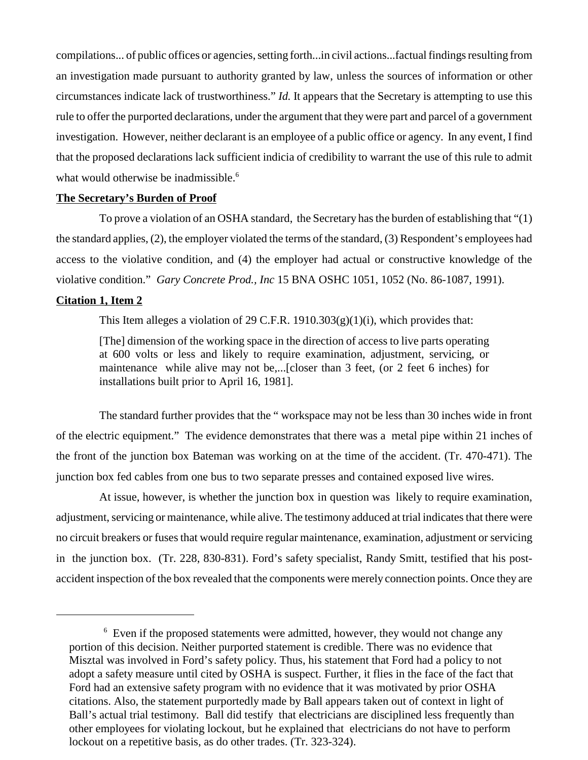compilations... of public offices or agencies, setting forth...in civil actions...factual findings resulting from an investigation made pursuant to authority granted by law, unless the sources of information or other circumstances indicate lack of trustworthiness." *Id.* It appears that the Secretary is attempting to use this rule to offer the purported declarations, under the argument that they were part and parcel of a government investigation. However, neither declarant is an employee of a public office or agency. In any event, I find that the proposed declarations lack sufficient indicia of credibility to warrant the use of this rule to admit what would otherwise be inadmissible.<sup>6</sup>

#### **The Secretary's Burden of Proof**

To prove a violation of an OSHA standard, the Secretary has the burden of establishing that "(1) the standard applies, (2), the employer violated the terms of the standard, (3) Respondent's employees had access to the violative condition, and (4) the employer had actual or constructive knowledge of the violative condition." *Gary Concrete Prod., Inc* 15 BNA OSHC 1051, 1052 (No. 86-1087, 1991).

### **Citation 1, Item 2**

This Item alleges a violation of 29 C.F.R.  $1910.303(g)(1)(i)$ , which provides that:

[The] dimension of the working space in the direction of access to live parts operating at 600 volts or less and likely to require examination, adjustment, servicing, or maintenance while alive may not be,...[closer than 3 feet, (or 2 feet 6 inches) for installations built prior to April 16, 1981].

The standard further provides that the " workspace may not be less than 30 inches wide in front of the electric equipment." The evidence demonstrates that there was a metal pipe within 21 inches of the front of the junction box Bateman was working on at the time of the accident. (Tr. 470-471). The junction box fed cables from one bus to two separate presses and contained exposed live wires.

At issue, however, is whether the junction box in question was likely to require examination, adjustment, servicing or maintenance, while alive. The testimony adduced at trial indicates that there were no circuit breakers or fuses that would require regular maintenance, examination, adjustment or servicing in the junction box. (Tr. 228, 830-831). Ford's safety specialist, Randy Smitt, testified that his postaccident inspection of the box revealed that the components were merely connection points. Once they are

 $6$  Even if the proposed statements were admitted, however, they would not change any portion of this decision. Neither purported statement is credible. There was no evidence that Misztal was involved in Ford's safety policy. Thus, his statement that Ford had a policy to not adopt a safety measure until cited by OSHA is suspect. Further, it flies in the face of the fact that Ford had an extensive safety program with no evidence that it was motivated by prior OSHA citations. Also, the statement purportedly made by Ball appears taken out of context in light of Ball's actual trial testimony. Ball did testify that electricians are disciplined less frequently than other employees for violating lockout, but he explained that electricians do not have to perform lockout on a repetitive basis, as do other trades. (Tr. 323-324).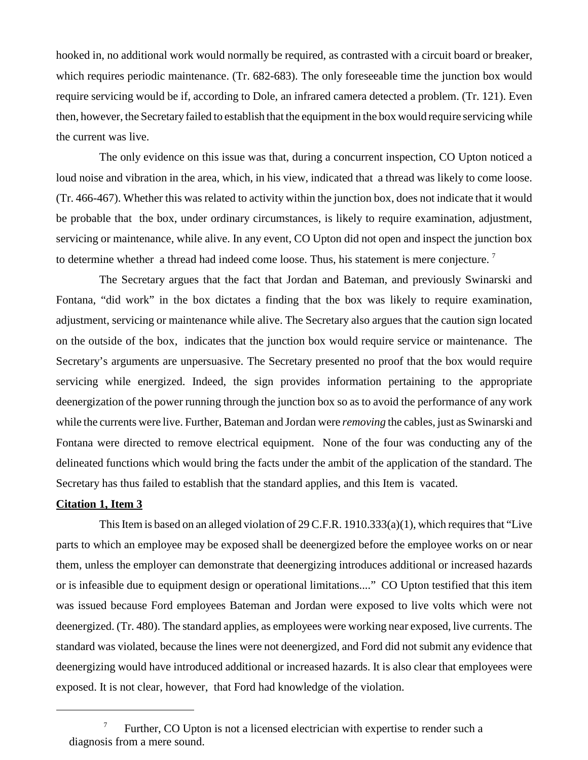hooked in, no additional work would normally be required, as contrasted with a circuit board or breaker, which requires periodic maintenance. (Tr. 682-683). The only foreseeable time the junction box would require servicing would be if, according to Dole, an infrared camera detected a problem. (Tr. 121). Even then, however, the Secretary failed to establish that the equipment in the box would require servicing while the current was live.

The only evidence on this issue was that, during a concurrent inspection, CO Upton noticed a loud noise and vibration in the area, which, in his view, indicated that a thread was likely to come loose. (Tr. 466-467). Whether this was related to activity within the junction box, does not indicate that it would be probable that the box, under ordinary circumstances, is likely to require examination, adjustment, servicing or maintenance, while alive. In any event, CO Upton did not open and inspect the junction box to determine whether a thread had indeed come loose. Thus, his statement is mere conjecture.<sup>7</sup>

The Secretary argues that the fact that Jordan and Bateman, and previously Swinarski and Fontana, "did work" in the box dictates a finding that the box was likely to require examination, adjustment, servicing or maintenance while alive. The Secretary also argues that the caution sign located on the outside of the box, indicates that the junction box would require service or maintenance. The Secretary's arguments are unpersuasive. The Secretary presented no proof that the box would require servicing while energized. Indeed, the sign provides information pertaining to the appropriate deenergization of the power running through the junction box so as to avoid the performance of any work while the currents were live. Further, Bateman and Jordan were *removing* the cables, just as Swinarski and Fontana were directed to remove electrical equipment. None of the four was conducting any of the delineated functions which would bring the facts under the ambit of the application of the standard. The Secretary has thus failed to establish that the standard applies, and this Item is vacated.

#### **Citation 1, Item 3**

This Item is based on an alleged violation of 29 C.F.R. 1910.333(a)(1), which requires that "Live parts to which an employee may be exposed shall be deenergized before the employee works on or near them, unless the employer can demonstrate that deenergizing introduces additional or increased hazards or is infeasible due to equipment design or operational limitations...." CO Upton testified that this item was issued because Ford employees Bateman and Jordan were exposed to live volts which were not deenergized. (Tr. 480). The standard applies, as employees were working near exposed, live currents. The standard was violated, because the lines were not deenergized, and Ford did not submit any evidence that deenergizing would have introduced additional or increased hazards. It is also clear that employees were exposed. It is not clear, however, that Ford had knowledge of the violation.

Further, CO Upton is not a licensed electrician with expertise to render such a diagnosis from a mere sound.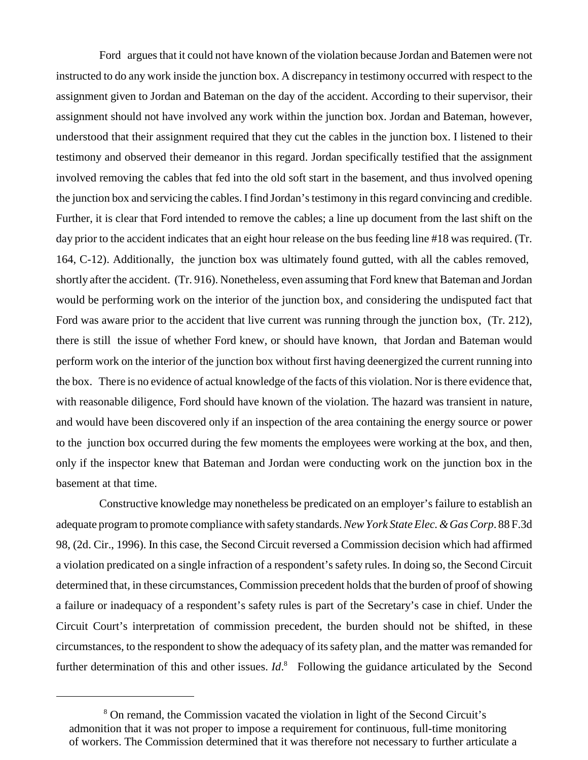Ford argues that it could not have known of the violation because Jordan and Batemen were not instructed to do any work inside the junction box. A discrepancy in testimony occurred with respect to the assignment given to Jordan and Bateman on the day of the accident. According to their supervisor, their assignment should not have involved any work within the junction box. Jordan and Bateman, however, understood that their assignment required that they cut the cables in the junction box. I listened to their testimony and observed their demeanor in this regard. Jordan specifically testified that the assignment involved removing the cables that fed into the old soft start in the basement, and thus involved opening the junction box and servicing the cables. I find Jordan's testimony in this regard convincing and credible. Further, it is clear that Ford intended to remove the cables; a line up document from the last shift on the day prior to the accident indicates that an eight hour release on the bus feeding line #18 was required. (Tr. 164, C-12). Additionally, the junction box was ultimately found gutted, with all the cables removed, shortly after the accident. (Tr. 916). Nonetheless, even assuming that Ford knew that Bateman and Jordan would be performing work on the interior of the junction box, and considering the undisputed fact that Ford was aware prior to the accident that live current was running through the junction box, (Tr. 212), there is still the issue of whether Ford knew, or should have known, that Jordan and Bateman would perform work on the interior of the junction box without first having deenergized the current running into the box. There is no evidence of actual knowledge of the facts of this violation. Nor is there evidence that, with reasonable diligence, Ford should have known of the violation. The hazard was transient in nature, and would have been discovered only if an inspection of the area containing the energy source or power to the junction box occurred during the few moments the employees were working at the box, and then, only if the inspector knew that Bateman and Jordan were conducting work on the junction box in the basement at that time.

Constructive knowledge may nonetheless be predicated on an employer's failure to establish an adequate program to promote compliance with safety standards. *New York State Elec. & Gas Corp*. 88 F.3d 98, (2d. Cir., 1996). In this case, the Second Circuit reversed a Commission decision which had affirmed a violation predicated on a single infraction of a respondent's safety rules. In doing so, the Second Circuit determined that, in these circumstances, Commission precedent holds that the burden of proof of showing a failure or inadequacy of a respondent's safety rules is part of the Secretary's case in chief. Under the Circuit Court's interpretation of commission precedent, the burden should not be shifted, in these circumstances, to the respondent to show the adequacy of its safety plan, and the matter was remanded for further determination of this and other issues. *Id*.<sup>8</sup> Following the guidance articulated by the Second

<sup>&</sup>lt;sup>8</sup> On remand, the Commission vacated the violation in light of the Second Circuit's admonition that it was not proper to impose a requirement for continuous, full-time monitoring of workers. The Commission determined that it was therefore not necessary to further articulate a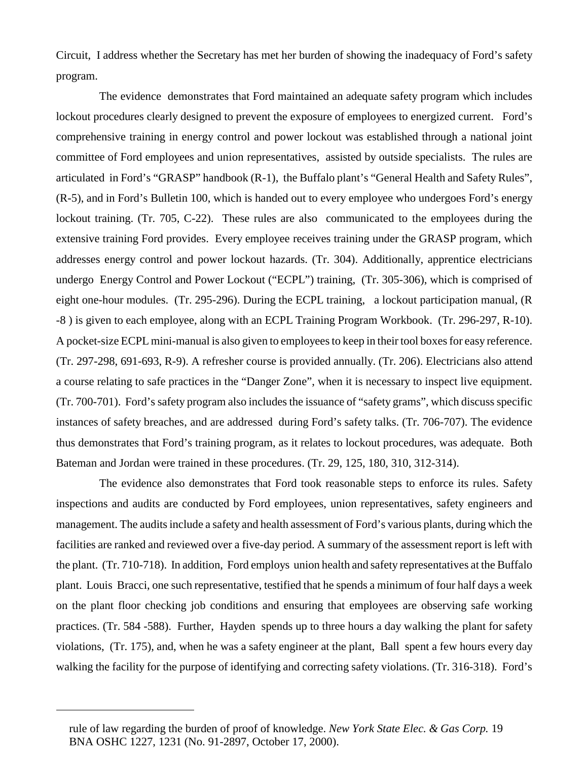Circuit, I address whether the Secretary has met her burden of showing the inadequacy of Ford's safety program.

The evidence demonstrates that Ford maintained an adequate safety program which includes lockout procedures clearly designed to prevent the exposure of employees to energized current. Ford's comprehensive training in energy control and power lockout was established through a national joint committee of Ford employees and union representatives, assisted by outside specialists. The rules are articulated in Ford's "GRASP" handbook (R-1), the Buffalo plant's "General Health and Safety Rules", (R-5), and in Ford's Bulletin 100, which is handed out to every employee who undergoes Ford's energy lockout training. (Tr. 705, C-22). These rules are also communicated to the employees during the extensive training Ford provides. Every employee receives training under the GRASP program, which addresses energy control and power lockout hazards. (Tr. 304). Additionally, apprentice electricians undergo Energy Control and Power Lockout ("ECPL") training, (Tr. 305-306), which is comprised of eight one-hour modules. (Tr. 295-296). During the ECPL training, a lockout participation manual, (R -8 ) is given to each employee, along with an ECPL Training Program Workbook. (Tr. 296-297, R-10). A pocket-size ECPL mini-manual is also given to employees to keep in their tool boxes for easy reference. (Tr. 297-298, 691-693, R-9). A refresher course is provided annually. (Tr. 206). Electricians also attend a course relating to safe practices in the "Danger Zone", when it is necessary to inspect live equipment. (Tr. 700-701). Ford's safety program also includes the issuance of "safety grams", which discuss specific instances of safety breaches, and are addressed during Ford's safety talks. (Tr. 706-707). The evidence thus demonstrates that Ford's training program, as it relates to lockout procedures, was adequate. Both Bateman and Jordan were trained in these procedures. (Tr. 29, 125, 180, 310, 312-314).

The evidence also demonstrates that Ford took reasonable steps to enforce its rules. Safety inspections and audits are conducted by Ford employees, union representatives, safety engineers and management. The audits include a safety and health assessment of Ford's various plants, during which the facilities are ranked and reviewed over a five-day period. A summary of the assessment report is left with the plant. (Tr. 710-718). In addition, Ford employs union health and safety representatives at the Buffalo plant. Louis Bracci, one such representative, testified that he spends a minimum of four half days a week on the plant floor checking job conditions and ensuring that employees are observing safe working practices. (Tr. 584 -588). Further, Hayden spends up to three hours a day walking the plant for safety violations, (Tr. 175), and, when he was a safety engineer at the plant, Ball spent a few hours every day walking the facility for the purpose of identifying and correcting safety violations. (Tr. 316-318). Ford's

rule of law regarding the burden of proof of knowledge. *New York State Elec. & Gas Corp.* 19 BNA OSHC 1227, 1231 (No. 91-2897, October 17, 2000).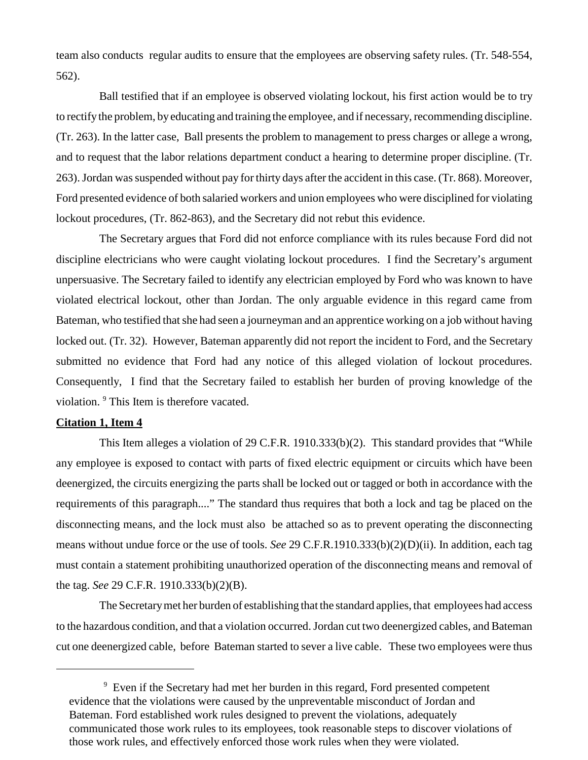team also conducts regular audits to ensure that the employees are observing safety rules. (Tr. 548-554, 562).

Ball testified that if an employee is observed violating lockout, his first action would be to try to rectify the problem, by educating and training the employee, and if necessary, recommending discipline. (Tr. 263). In the latter case, Ball presents the problem to management to press charges or allege a wrong, and to request that the labor relations department conduct a hearing to determine proper discipline. (Tr. 263). Jordan was suspended without pay for thirty days after the accident in this case. (Tr. 868). Moreover, Ford presented evidence of both salaried workers and union employees who were disciplined for violating lockout procedures, (Tr. 862-863), and the Secretary did not rebut this evidence.

The Secretary argues that Ford did not enforce compliance with its rules because Ford did not discipline electricians who were caught violating lockout procedures. I find the Secretary's argument unpersuasive. The Secretary failed to identify any electrician employed by Ford who was known to have violated electrical lockout, other than Jordan. The only arguable evidence in this regard came from Bateman, who testified that she had seen a journeyman and an apprentice working on a job without having locked out. (Tr. 32). However, Bateman apparently did not report the incident to Ford, and the Secretary submitted no evidence that Ford had any notice of this alleged violation of lockout procedures. Consequently, I find that the Secretary failed to establish her burden of proving knowledge of the violation. <sup>9</sup> This Item is therefore vacated.

#### **Citation 1, Item 4**

This Item alleges a violation of 29 C.F.R. 1910.333(b)(2). This standard provides that "While any employee is exposed to contact with parts of fixed electric equipment or circuits which have been deenergized, the circuits energizing the parts shall be locked out or tagged or both in accordance with the requirements of this paragraph...." The standard thus requires that both a lock and tag be placed on the disconnecting means, and the lock must also be attached so as to prevent operating the disconnecting means without undue force or the use of tools. *See* 29 C.F.R.1910.333(b)(2)(D)(ii). In addition, each tag must contain a statement prohibiting unauthorized operation of the disconnecting means and removal of the tag. *See* 29 C.F.R. 1910.333(b)(2)(B).

The Secretary met her burden of establishing that the standard applies, that employees had access to the hazardous condition, and that a violation occurred. Jordan cut two deenergized cables, and Bateman cut one deenergized cable, before Bateman started to sever a live cable. These two employees were thus

<sup>&</sup>lt;sup>9</sup> Even if the Secretary had met her burden in this regard, Ford presented competent evidence that the violations were caused by the unpreventable misconduct of Jordan and Bateman. Ford established work rules designed to prevent the violations, adequately communicated those work rules to its employees, took reasonable steps to discover violations of those work rules, and effectively enforced those work rules when they were violated.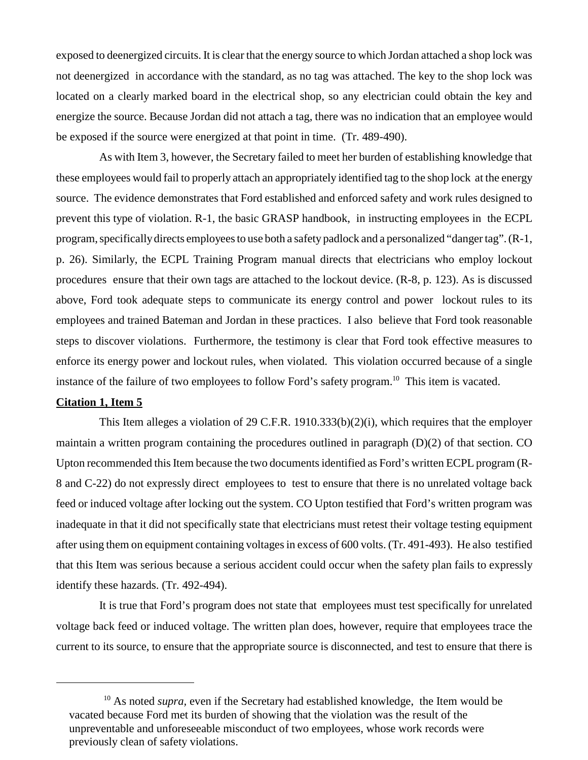exposed to deenergized circuits. It is clear that the energy source to which Jordan attached a shop lock was not deenergized in accordance with the standard, as no tag was attached. The key to the shop lock was located on a clearly marked board in the electrical shop, so any electrician could obtain the key and energize the source. Because Jordan did not attach a tag, there was no indication that an employee would be exposed if the source were energized at that point in time. (Tr. 489-490).

As with Item 3, however, the Secretary failed to meet her burden of establishing knowledge that these employees would fail to properly attach an appropriately identified tag to the shop lock at the energy source. The evidence demonstrates that Ford established and enforced safety and work rules designed to prevent this type of violation. R-1, the basic GRASP handbook, in instructing employees in the ECPL program, specificallydirects employees to use both a safety padlock and a personalized "danger tag". (R-1, p. 26). Similarly, the ECPL Training Program manual directs that electricians who employ lockout procedures ensure that their own tags are attached to the lockout device. (R-8, p. 123). As is discussed above, Ford took adequate steps to communicate its energy control and power lockout rules to its employees and trained Bateman and Jordan in these practices. I also believe that Ford took reasonable steps to discover violations. Furthermore, the testimony is clear that Ford took effective measures to enforce its energy power and lockout rules, when violated. This violation occurred because of a single instance of the failure of two employees to follow Ford's safety program.<sup>10</sup> This item is vacated.

#### **Citation 1, Item 5**

This Item alleges a violation of 29 C.F.R. 1910.333(b)(2)(i), which requires that the employer maintain a written program containing the procedures outlined in paragraph (D)(2) of that section. CO Upton recommended this Item because the two documents identified as Ford's written ECPL program (R-8 and C-22) do not expressly direct employees to test to ensure that there is no unrelated voltage back feed or induced voltage after locking out the system. CO Upton testified that Ford's written program was inadequate in that it did not specifically state that electricians must retest their voltage testing equipment after using them on equipment containing voltages in excess of 600 volts. (Tr. 491-493). He also testified that this Item was serious because a serious accident could occur when the safety plan fails to expressly identify these hazards. (Tr. 492-494).

It is true that Ford's program does not state that employees must test specifically for unrelated voltage back feed or induced voltage. The written plan does, however, require that employees trace the current to its source, to ensure that the appropriate source is disconnected, and test to ensure that there is

<sup>&</sup>lt;sup>10</sup> As noted *supra*, even if the Secretary had established knowledge, the Item would be vacated because Ford met its burden of showing that the violation was the result of the unpreventable and unforeseeable misconduct of two employees, whose work records were previously clean of safety violations.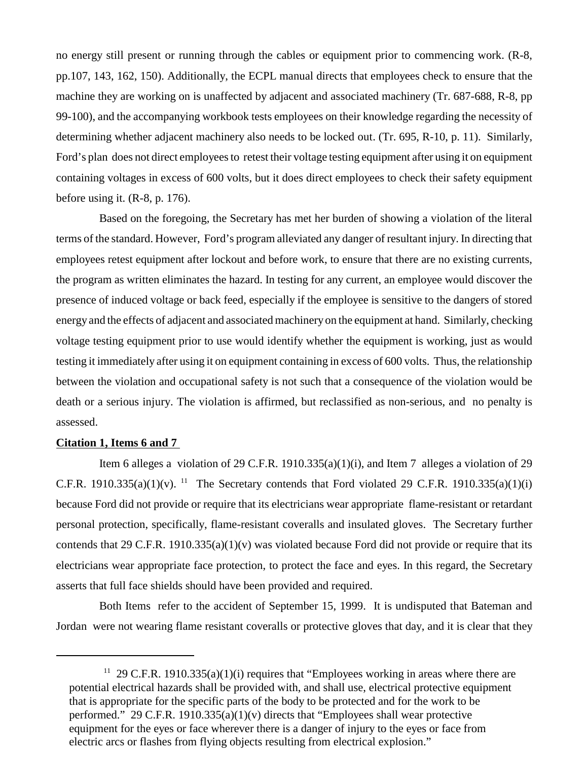no energy still present or running through the cables or equipment prior to commencing work. (R-8, pp.107, 143, 162, 150). Additionally, the ECPL manual directs that employees check to ensure that the machine they are working on is unaffected by adjacent and associated machinery (Tr. 687-688, R-8, pp 99-100), and the accompanying workbook tests employees on their knowledge regarding the necessity of determining whether adjacent machinery also needs to be locked out. (Tr. 695, R-10, p. 11). Similarly, Ford's plan does not direct employees to retest their voltage testing equipment after using it on equipment containing voltages in excess of 600 volts, but it does direct employees to check their safety equipment before using it. (R-8, p. 176).

Based on the foregoing, the Secretary has met her burden of showing a violation of the literal terms of the standard. However, Ford's program alleviated any danger of resultant injury. In directing that employees retest equipment after lockout and before work, to ensure that there are no existing currents, the program as written eliminates the hazard. In testing for any current, an employee would discover the presence of induced voltage or back feed, especially if the employee is sensitive to the dangers of stored energy and the effects of adjacent and associated machinery on the equipment at hand. Similarly, checking voltage testing equipment prior to use would identify whether the equipment is working, just as would testing it immediately after using it on equipment containing in excess of 600 volts. Thus, the relationship between the violation and occupational safety is not such that a consequence of the violation would be death or a serious injury. The violation is affirmed, but reclassified as non-serious, and no penalty is assessed.

## **Citation 1, Items 6 and 7**

Item 6 alleges a violation of 29 C.F.R. 1910.335(a)(1)(i), and Item 7 alleges a violation of 29 C.F.R. 1910.335(a)(1)(v). <sup>11</sup> The Secretary contends that Ford violated 29 C.F.R. 1910.335(a)(1)(i) because Ford did not provide or require that its electricians wear appropriate flame-resistant or retardant personal protection, specifically, flame-resistant coveralls and insulated gloves. The Secretary further contends that 29 C.F.R. 1910.335(a)(1)(v) was violated because Ford did not provide or require that its electricians wear appropriate face protection, to protect the face and eyes. In this regard, the Secretary asserts that full face shields should have been provided and required.

Both Items refer to the accident of September 15, 1999. It is undisputed that Bateman and Jordan were not wearing flame resistant coveralls or protective gloves that day, and it is clear that they

<sup>&</sup>lt;sup>11</sup> 29 C.F.R. 1910.335(a)(1)(i) requires that "Employees working in areas where there are potential electrical hazards shall be provided with, and shall use, electrical protective equipment that is appropriate for the specific parts of the body to be protected and for the work to be performed." 29 C.F.R. 1910.335(a)(1)(v) directs that "Employees shall wear protective equipment for the eyes or face wherever there is a danger of injury to the eyes or face from electric arcs or flashes from flying objects resulting from electrical explosion."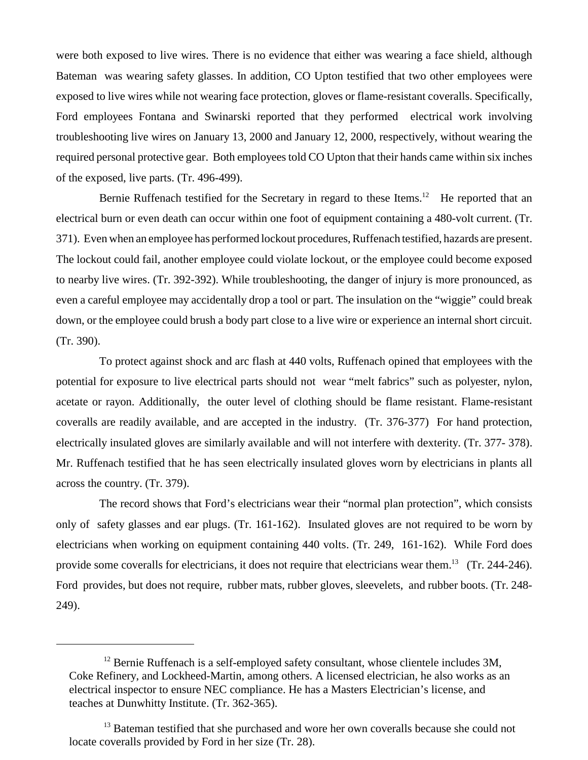were both exposed to live wires. There is no evidence that either was wearing a face shield, although Bateman was wearing safety glasses. In addition, CO Upton testified that two other employees were exposed to live wires while not wearing face protection, gloves or flame-resistant coveralls. Specifically, Ford employees Fontana and Swinarski reported that they performed electrical work involving troubleshooting live wires on January 13, 2000 and January 12, 2000, respectively, without wearing the required personal protective gear. Both employees told CO Upton that their hands came within six inches of the exposed, live parts. (Tr. 496-499).

Bernie Ruffenach testified for the Secretary in regard to these Items.<sup>12</sup> He reported that an electrical burn or even death can occur within one foot of equipment containing a 480-volt current. (Tr. 371). Even when an employee has performed lockout procedures, Ruffenach testified, hazards are present. The lockout could fail, another employee could violate lockout, or the employee could become exposed to nearby live wires. (Tr. 392-392). While troubleshooting, the danger of injury is more pronounced, as even a careful employee may accidentally drop a tool or part. The insulation on the "wiggie" could break down, or the employee could brush a body part close to a live wire or experience an internal short circuit. (Tr. 390).

To protect against shock and arc flash at 440 volts, Ruffenach opined that employees with the potential for exposure to live electrical parts should not wear "melt fabrics" such as polyester, nylon, acetate or rayon. Additionally, the outer level of clothing should be flame resistant. Flame-resistant coveralls are readily available, and are accepted in the industry. (Tr. 376-377) For hand protection, electrically insulated gloves are similarly available and will not interfere with dexterity. (Tr. 377- 378). Mr. Ruffenach testified that he has seen electrically insulated gloves worn by electricians in plants all across the country. (Tr. 379).

The record shows that Ford's electricians wear their "normal plan protection", which consists only of safety glasses and ear plugs. (Tr. 161-162). Insulated gloves are not required to be worn by electricians when working on equipment containing 440 volts. (Tr. 249, 161-162). While Ford does provide some coveralls for electricians, it does not require that electricians wear them.<sup>13</sup> (Tr. 244-246). Ford provides, but does not require, rubber mats, rubber gloves, sleevelets, and rubber boots. (Tr. 248- 249).

 $12$  Bernie Ruffenach is a self-employed safety consultant, whose clientele includes 3M, Coke Refinery, and Lockheed-Martin, among others. A licensed electrician, he also works as an electrical inspector to ensure NEC compliance. He has a Masters Electrician's license, and teaches at Dunwhitty Institute. (Tr. 362-365).

<sup>&</sup>lt;sup>13</sup> Bateman testified that she purchased and wore her own coveralls because she could not locate coveralls provided by Ford in her size (Tr. 28).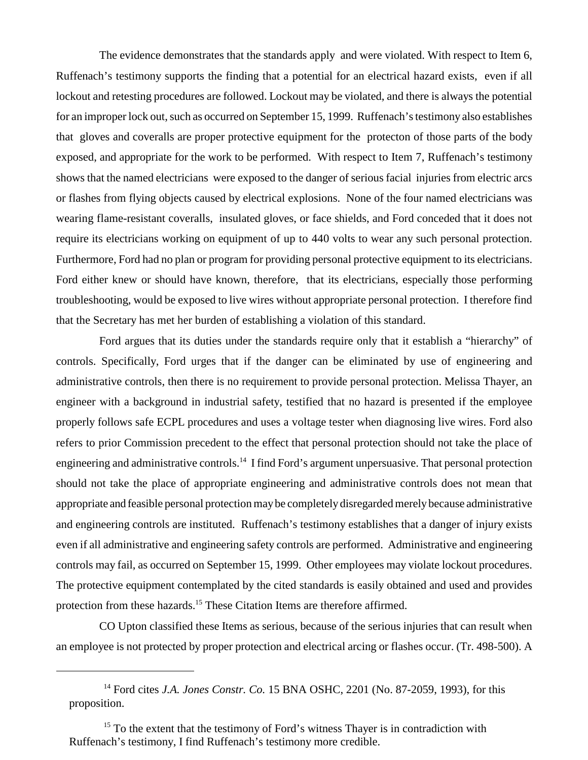The evidence demonstrates that the standards apply and were violated. With respect to Item 6, Ruffenach's testimony supports the finding that a potential for an electrical hazard exists, even if all lockout and retesting procedures are followed. Lockout may be violated, and there is always the potential for an improper lock out, such as occurred on September 15, 1999. Ruffenach's testimony also establishes that gloves and coveralls are proper protective equipment for the protecton of those parts of the body exposed, and appropriate for the work to be performed. With respect to Item 7, Ruffenach's testimony shows that the named electricians were exposed to the danger of serious facial injuries from electric arcs or flashes from flying objects caused by electrical explosions. None of the four named electricians was wearing flame-resistant coveralls, insulated gloves, or face shields, and Ford conceded that it does not require its electricians working on equipment of up to 440 volts to wear any such personal protection. Furthermore, Ford had no plan or program for providing personal protective equipment to its electricians. Ford either knew or should have known, therefore, that its electricians, especially those performing troubleshooting, would be exposed to live wires without appropriate personal protection. I therefore find that the Secretary has met her burden of establishing a violation of this standard.

Ford argues that its duties under the standards require only that it establish a "hierarchy" of controls. Specifically, Ford urges that if the danger can be eliminated by use of engineering and administrative controls, then there is no requirement to provide personal protection. Melissa Thayer, an engineer with a background in industrial safety, testified that no hazard is presented if the employee properly follows safe ECPL procedures and uses a voltage tester when diagnosing live wires. Ford also refers to prior Commission precedent to the effect that personal protection should not take the place of engineering and administrative controls.<sup>14</sup> I find Ford's argument unpersuasive. That personal protection should not take the place of appropriate engineering and administrative controls does not mean that appropriate and feasible personal protection may be completely disregarded merely because administrative and engineering controls are instituted. Ruffenach's testimony establishes that a danger of injury exists even if all administrative and engineering safety controls are performed. Administrative and engineering controls may fail, as occurred on September 15, 1999. Other employees may violate lockout procedures. The protective equipment contemplated by the cited standards is easily obtained and used and provides protection from these hazards.<sup>15</sup> These Citation Items are therefore affirmed.

CO Upton classified these Items as serious, because of the serious injuries that can result when an employee is not protected by proper protection and electrical arcing or flashes occur. (Tr. 498-500). A

<sup>&</sup>lt;sup>14</sup> Ford cites *J.A. Jones Constr. Co.* 15 BNA OSHC, 2201 (No. 87-2059, 1993), for this proposition.

<sup>&</sup>lt;sup>15</sup> To the extent that the testimony of Ford's witness Thayer is in contradiction with Ruffenach's testimony, I find Ruffenach's testimony more credible.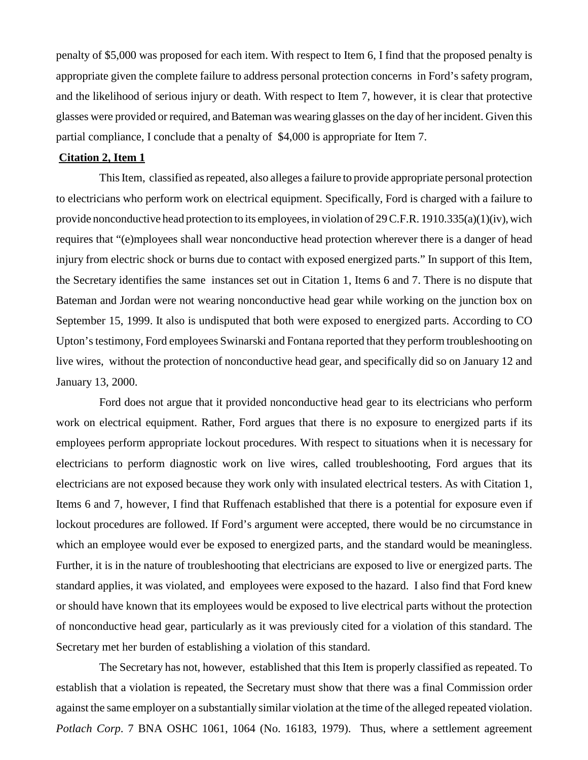penalty of \$5,000 was proposed for each item. With respect to Item 6, I find that the proposed penalty is appropriate given the complete failure to address personal protection concerns in Ford's safety program, and the likelihood of serious injury or death. With respect to Item 7, however, it is clear that protective glasses were provided or required, and Bateman was wearing glasses on the day of her incident. Given this partial compliance, I conclude that a penalty of \$4,000 is appropriate for Item 7.

#### **Citation 2, Item 1**

This Item, classified as repeated, also alleges a failure to provide appropriate personal protection to electricians who perform work on electrical equipment. Specifically, Ford is charged with a failure to provide nonconductive head protection to its employees, in violation of 29 C.F.R. 1910.335(a)(1)(iv), wich requires that "(e)mployees shall wear nonconductive head protection wherever there is a danger of head injury from electric shock or burns due to contact with exposed energized parts." In support of this Item, the Secretary identifies the same instances set out in Citation 1, Items 6 and 7. There is no dispute that Bateman and Jordan were not wearing nonconductive head gear while working on the junction box on September 15, 1999. It also is undisputed that both were exposed to energized parts. According to CO Upton's testimony, Ford employees Swinarski and Fontana reported that they perform troubleshooting on live wires, without the protection of nonconductive head gear, and specifically did so on January 12 and January 13, 2000.

Ford does not argue that it provided nonconductive head gear to its electricians who perform work on electrical equipment. Rather, Ford argues that there is no exposure to energized parts if its employees perform appropriate lockout procedures. With respect to situations when it is necessary for electricians to perform diagnostic work on live wires, called troubleshooting, Ford argues that its electricians are not exposed because they work only with insulated electrical testers. As with Citation 1, Items 6 and 7, however, I find that Ruffenach established that there is a potential for exposure even if lockout procedures are followed. If Ford's argument were accepted, there would be no circumstance in which an employee would ever be exposed to energized parts, and the standard would be meaningless. Further, it is in the nature of troubleshooting that electricians are exposed to live or energized parts. The standard applies, it was violated, and employees were exposed to the hazard. I also find that Ford knew or should have known that its employees would be exposed to live electrical parts without the protection of nonconductive head gear, particularly as it was previously cited for a violation of this standard. The Secretary met her burden of establishing a violation of this standard.

The Secretary has not, however, established that this Item is properly classified as repeated. To establish that a violation is repeated, the Secretary must show that there was a final Commission order against the same employer on a substantially similar violation at the time of the alleged repeated violation. *Potlach Corp*. 7 BNA OSHC 1061, 1064 (No. 16183, 1979). Thus, where a settlement agreement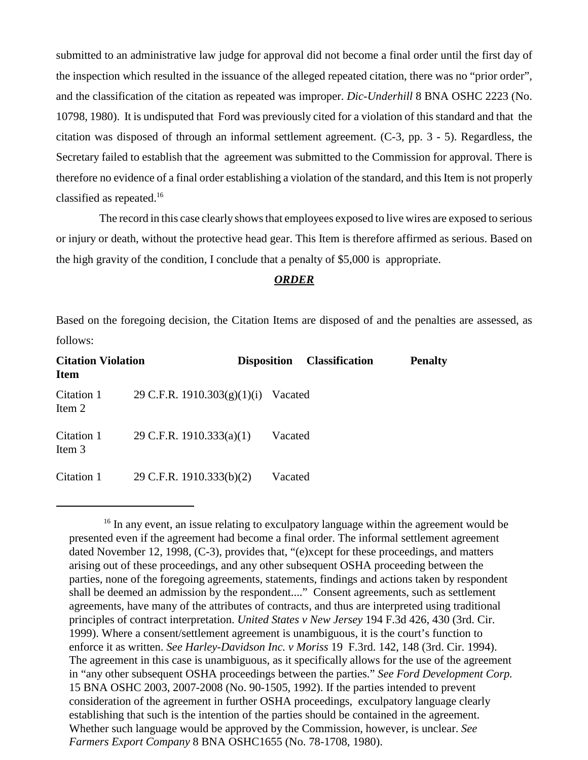submitted to an administrative law judge for approval did not become a final order until the first day of the inspection which resulted in the issuance of the alleged repeated citation, there was no "prior order", and the classification of the citation as repeated was improper. *Dic-Underhill* 8 BNA OSHC 2223 (No. 10798, 1980). It is undisputed that Ford was previously cited for a violation of this standard and that the citation was disposed of through an informal settlement agreement. (C-3, pp. 3 - 5). Regardless, the Secretary failed to establish that the agreement was submitted to the Commission for approval. There is therefore no evidence of a final order establishing a violation of the standard, and this Item is not properly classified as repeated.16

The record in this case clearly shows that employees exposed to live wires are exposed to serious or injury or death, without the protective head gear. This Item is therefore affirmed as serious. Based on the high gravity of the condition, I conclude that a penalty of \$5,000 is appropriate.

### *ORDER*

Based on the foregoing decision, the Citation Items are disposed of and the penalties are assessed, as follows:

| <b>Citation Violation</b><br><b>Item</b> |                                     | <b>Disposition</b> | <b>Classification</b> | <b>Penalty</b> |
|------------------------------------------|-------------------------------------|--------------------|-----------------------|----------------|
| Citation 1<br>Item 2                     | 29 C.F.R. 1910.303(g)(1)(i) Vacated |                    |                       |                |
| Citation 1<br>Item 3                     | 29 C.F.R. 1910.333(a)(1)            | Vacated            |                       |                |
| Citation 1                               | 29 C.F.R. 1910.333(b)(2)            | Vacated            |                       |                |

 $16$  In any event, an issue relating to exculpatory language within the agreement would be presented even if the agreement had become a final order. The informal settlement agreement dated November 12, 1998, (C-3), provides that, "(e)xcept for these proceedings, and matters arising out of these proceedings, and any other subsequent OSHA proceeding between the parties, none of the foregoing agreements, statements, findings and actions taken by respondent shall be deemed an admission by the respondent...." Consent agreements, such as settlement agreements, have many of the attributes of contracts, and thus are interpreted using traditional principles of contract interpretation. *United States v New Jersey* 194 F.3d 426, 430 (3rd. Cir. 1999). Where a consent/settlement agreement is unambiguous, it is the court's function to enforce it as written. *See Harley-Davidson Inc. v Moriss* 19 F.3rd. 142, 148 (3rd. Cir. 1994). The agreement in this case is unambiguous, as it specifically allows for the use of the agreement in "any other subsequent OSHA proceedings between the parties." *See Ford Development Corp.*  15 BNA OSHC 2003, 2007-2008 (No. 90-1505, 1992). If the parties intended to prevent consideration of the agreement in further OSHA proceedings, exculpatory language clearly establishing that such is the intention of the parties should be contained in the agreement. Whether such language would be approved by the Commission, however, is unclear. *See Farmers Export Company* 8 BNA OSHC1655 (No. 78-1708, 1980).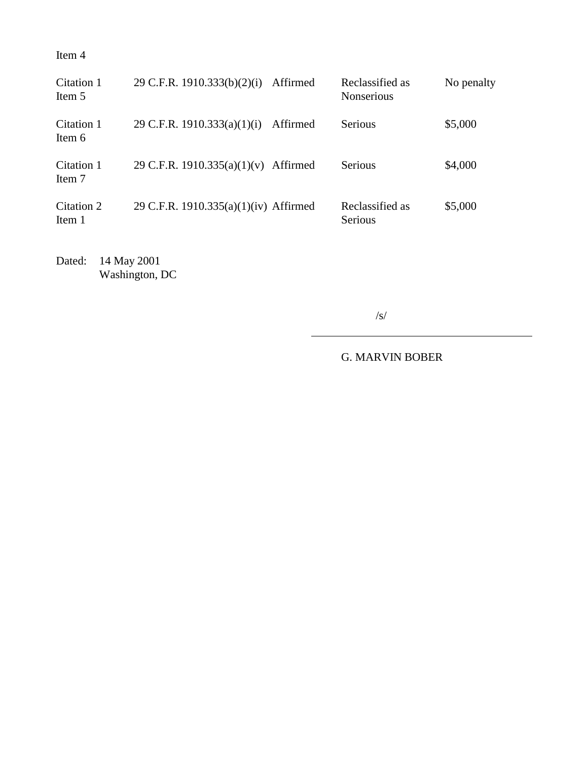Item 4

| Citation 1<br>Item 5 | 29 C.F.R. 1910.333(b)(2)(i)           | Affirmed | Reclassified as<br><b>Nonserious</b> | No penalty |
|----------------------|---------------------------------------|----------|--------------------------------------|------------|
| Citation 1<br>Item 6 | 29 C.F.R. 1910.333(a)(1)(i)           | Affirmed | Serious                              | \$5,000    |
| Citation 1<br>Item 7 | 29 C.F.R. 1910.335(a)(1)(v)           | Affirmed | <b>Serious</b>                       | \$4,000    |
| Citation 2<br>Item 1 | 29 C.F.R. 1910.335(a)(1)(iv) Affirmed |          | Reclassified as<br>Serious           | \$5,000    |

Dated: 14 May 2001 Washington, DC

/s/

G. MARVIN BOBER